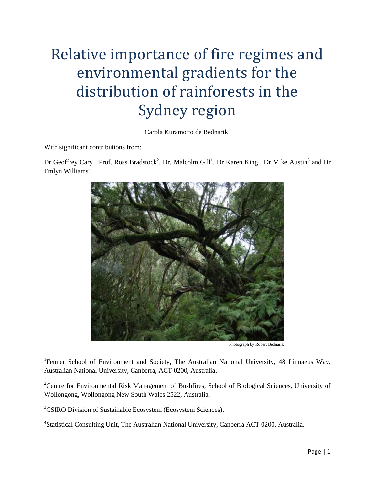# Relative importance of fire regimes and environmental gradients for the distribution of rainforests in the Sydney region

Carola Kuramotto de Bednari $k<sup>1</sup>$ 

With significant contributions from:

Dr Geoffrey Cary<sup>1</sup>, Prof. Ross Bradstock<sup>2</sup>, Dr, Malcolm Gill<sup>1</sup>, Dr Karen King<sup>1</sup>, Dr Mike Austin<sup>3</sup> and Dr Emlyn Williams<sup>4</sup>.



Photograph by Robert Bednarik

<sup>1</sup>Fenner School of Environment and Society, The Australian National University, 48 Linnaeus Way, Australian National University, Canberra, ACT 0200, Australia.

<sup>2</sup>Centre for Environmental Risk Management of Bushfires, School of Biological Sciences, University of Wollongong, Wollongong New South Wales 2522, Australia.

<sup>3</sup>CSIRO Division of Sustainable Ecosystem (Ecosystem Sciences).

4 Statistical Consulting Unit, The Australian National University, Canberra ACT 0200, Australia.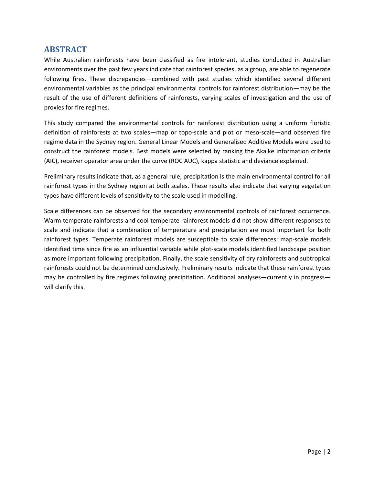# **ABSTRACT**

While Australian rainforests have been classified as fire intolerant, studies conducted in Australian environments over the past few years indicate that rainforest species, as a group, are able to regenerate following fires. These discrepancies—combined with past studies which identified several different environmental variables as the principal environmental controls for rainforest distribution—may be the result of the use of different definitions of rainforests, varying scales of investigation and the use of proxies for fire regimes.

This study compared the environmental controls for rainforest distribution using a uniform floristic definition of rainforests at two scales—map or topo-scale and plot or meso-scale—and observed fire regime data in the Sydney region. General Linear Models and Generalised Additive Models were used to construct the rainforest models. Best models were selected by ranking the Akaike information criteria (AIC), receiver operator area under the curve (ROC AUC), kappa statistic and deviance explained.

Preliminary results indicate that, as a general rule, precipitation is the main environmental control for all rainforest types in the Sydney region at both scales. These results also indicate that varying vegetation types have different levels of sensitivity to the scale used in modelling.

Scale differences can be observed for the secondary environmental controls of rainforest occurrence. Warm temperate rainforests and cool temperate rainforest models did not show different responses to scale and indicate that a combination of temperature and precipitation are most important for both rainforest types. Temperate rainforest models are susceptible to scale differences: map-scale models identified time since fire as an influential variable while plot-scale models identified landscape position as more important following precipitation. Finally, the scale sensitivity of dry rainforests and subtropical rainforests could not be determined conclusively. Preliminary results indicate that these rainforest types may be controlled by fire regimes following precipitation. Additional analyses—currently in progress will clarify this.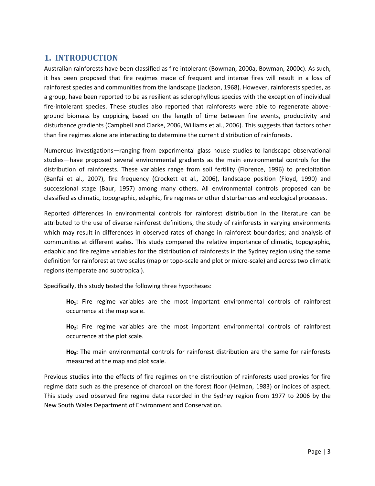# **1. INTRODUCTION**

Australian rainforests have been classified as fire intolerant [\(Bowman, 2000a,](#page-15-0) [Bowman, 2000c\)](#page-15-1). As such, it has been proposed that fire regimes made of frequent and intense fires will result in a loss of rainforest species and communities from the landscape [\(Jackson, 1968\)](#page-16-0). However, rainforests species, as a group, have been reported to be as resilient as sclerophyllous species with the exception of individual fire-intolerant species. These studies also reported that rainforests were able to regenerate aboveground biomass by coppicing based on the length of time between fire events, productivity and disturbance gradients [\(Campbell and Clarke, 2006,](#page-15-2) [Williams et al., 2006\)](#page-16-1). This suggests that factors other than fire regimes alone are interacting to determine the current distribution of rainforests.

Numerous investigations—ranging from experimental glass house studies to landscape observational studies—have proposed several environmental gradients as the main environmental controls for the distribution of rainforests. These variables range from soil fertility [\(Florence, 1996\)](#page-15-3) to precipitation [\(Banfai et al., 2007\)](#page-15-4), fire frequency [\(Crockett et al., 2006\)](#page-15-5), landscape position [\(Floyd, 1990\)](#page-15-6) and successional stage [\(Baur, 1957\)](#page-15-7) among many others. All environmental controls proposed can be classified as climatic, topographic, edaphic, fire regimes or other disturbances and ecological processes.

Reported differences in environmental controls for rainforest distribution in the literature can be attributed to the use of diverse rainforest definitions, the study of rainforests in varying environments which may result in differences in observed rates of change in rainforest boundaries; and analysis of communities at different scales. This study compared the relative importance of climatic, topographic, edaphic and fire regime variables for the distribution of rainforests in the Sydney region using the same definition for rainforest at two scales (map or topo-scale and plot or micro-scale) and across two climatic regions (temperate and subtropical).

Specifically, this study tested the following three hypotheses:

**Ho1:** Fire regime variables are the most important environmental controls of rainforest occurrence at the map scale.

**Ho2:** Fire regime variables are the most important environmental controls of rainforest occurrence at the plot scale.

**Ho3:** The main environmental controls for rainforest distribution are the same for rainforests measured at the map and plot scale.

Previous studies into the effects of fire regimes on the distribution of rainforests used proxies for fire regime data such as the presence of charcoal on the forest floor [\(Helman, 1983\)](#page-15-8) or indices of aspect. This study used observed fire regime data recorded in the Sydney region from 1977 to 2006 by the New South Wales Department of Environment and Conservation.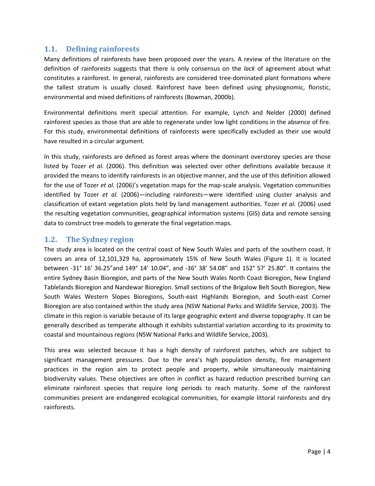## **1.1. Defining rainforests**

Many definitions of rainforests have been proposed over the years. A review of the literature on the definition of rainforests suggests that there is only consensus on the *lack* of agreement about what constitutes a rainforest. In general, rainforests are considered tree-dominated plant formations where the tallest stratum is usually closed. Rainforest have been defined using physiognomic, floristic, environmental and mixed definitions of rainforests [\(Bowman, 2000b\)](#page-15-9).

Environmental definitions merit special attention. For example, Lynch and Nelder [\(2000\)](#page-16-2) defined rainforest species as those that are able to regenerate under low light conditions in the absence of fire. For this study, environmental definitions of rainforests were specifically excluded as their use would have resulted in a circular argument.

In this study, rainforests are defined as forest areas where the dominant overstorey species are those listed by Tozer *et al.* [\(2006\)](#page-16-3). This definition was selected over other definitions available because it provided the means to identify rainforests in an objective manner, and the use of this definition allowed for the use of Tozer *et al.* [\(2006\)](#page-16-3)'s vegetation maps for the map-scale analysis. Vegetation communities identified by Tozer *et al.* [\(2006\)](#page-16-3)—including rainforests—were identified using cluster analysis and classification of extant vegetation plots held by land management authorities. Tozer *et al.* [\(2006\)](#page-16-3) used the resulting vegetation communities, geographical information systems (GIS) data and remote sensing data to construct tree models to generate the final vegetation maps.

# **1.2. The Sydney region**

The study area is located on the central coast of New South Wales and parts of the southern coast. It covers an area of 12,101,329 ha, approximately 15% of New South Wales [\(Figure 1\)](#page-4-0). It is located between -31° 16' 36.25"and 149° 14' 10.04", and -36° 38' 54.08" and 152° 57' 25.80". It contains the entire Sydney Basin Bioregion, and parts of the New South Wales North Coast Bioregion, New England Tablelands Bioregion and Nandewar Bioregion. Small sections of the Brigalow Belt South Bioregion, New South Wales Western Slopes Bioregions, South-east Highlands Bioregion, and South-east Corner Bioregion are also contained within the study area (NSW National Parks and Wildlife Service, 2003). The climate in this region is variable because of its large geographic extent and diverse topography. It can be generally described as temperate although it exhibits substantial variation according to its proximity to coastal and mountainous regions [\(NSW National Parks and Wildlife Service, 2003\)](#page-16-4).

This area was selected because it has a high density of rainforest patches, which are subject to significant management pressures. Due to the area's high population density, fire management practices in the region aim to protect people and property, while simultaneously maintaining biodiversity values. These objectives are often in conflict as hazard reduction prescribed burning can eliminate rainforest species that require long periods to reach maturity. Some of the rainforest communities present are endangered ecological communities, for example littoral rainforests and dry rainforests.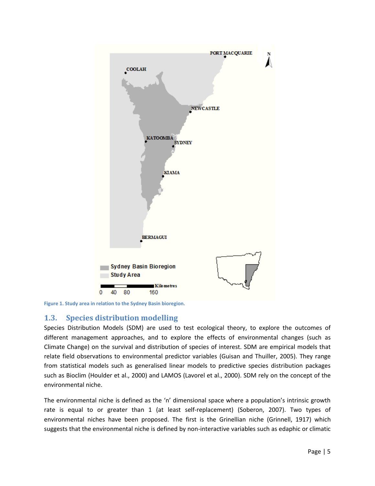

<span id="page-4-0"></span>**Figure 1. Study area in relation to the Sydney Basin bioregion.**

# **1.3. Species distribution modelling**

Species Distribution Models (SDM) are used to test ecological theory, to explore the outcomes of different management approaches, and to explore the effects of environmental changes (such as Climate Change) on the survival and distribution of species of interest. SDM are empirical models that relate field observations to environmental predictor variables [\(Guisan and Thuiller, 2005\)](#page-15-10). They range from statistical models such as generalised linear models to predictive species distribution packages such as Bioclim [\(Houlder et al., 2000\)](#page-15-11) and LAMOS [\(Lavorel et al., 2000\)](#page-16-5). SDM rely on the concept of the environmental niche.

The environmental niche is defined as the 'n' dimensional space where a population's intrinsic growth rate is equal to or greater than 1 (at least self-replacement) [\(Soberon, 2007\)](#page-16-6). Two types of environmental niches have been proposed. The first is the Grinellian niche [\(Grinnell, 1917\)](#page-15-12) which suggests that the environmental niche is defined by non-interactive variables such as edaphic or climatic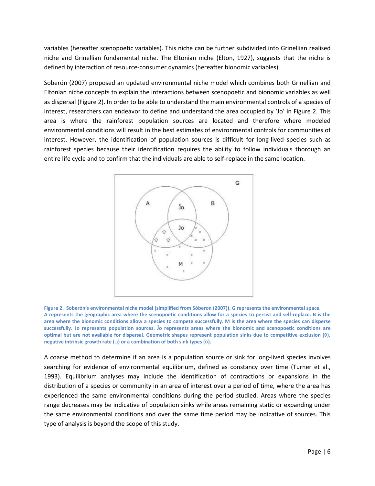variables (hereafter scenopoetic variables). This niche can be further subdivided into Grinellian realised niche and Grinellian fundamental niche. The Eltonian niche [\(Elton, 1927\)](#page-15-13), suggests that the niche is defined by interaction of resource-consumer dynamics (hereafter bionomic variables).

Soberón [\(2007\)](#page-16-6) proposed an updated environmental niche model which combines both Grinellian and Eltonian niche concepts to explain the interactions between scenopoetic and bionomic variables as well as dispersal [\(Figure 2\)](#page-5-0). In order to be able to understand the main environmental controls of a species of interest, researchers can endeavor to define and understand the area occupied by 'Jo' in [Figure 2.](#page-5-0) This area is where the rainforest population sources are located and therefore where modeled environmental conditions will result in the best estimates of environmental controls for communities of interest. However, the identification of population sources is difficult for long-lived species such as rainforest species because their identification requires the ability to follow individuals thorough an entire life cycle and to confirm that the individuals are able to self-replace in the same location.



<span id="page-5-0"></span>**Figure 2. Soberón's environmental niche model (simplified from Sóberon (2007)). G represents the environmental space. A represents the geographic area where the scenopoetic conditions allow for a species to persist and self-replace. B is the area where the bionomic conditions allow a species to compete successfully. M is the area where the species can disperse successfully.** Jo represents population sources. Jo represents areas where the bionomic and scenopoetic conditions are optimal but are not available for dispersal. Geometric shapes represent population sinks due to competitive exclusion (0), **negative intrinsic growth rate (□) or a combination of both sink types (○).** 

A coarse method to determine if an area is a population source or sink for long-lived species involves searching for evidence of environmental equilibrium, defined as constancy over time [\(Turner et al.,](#page-16-7)  [1993\)](#page-16-7). Equilibrium analyses may include the identification of contractions or expansions in the distribution of a species or community in an area of interest over a period of time, where the area has experienced the same environmental conditions during the period studied. Areas where the species range decreases may be indicative of population sinks while areas remaining static or expanding under the same environmental conditions and over the same time period may be indicative of sources. This type of analysis is beyond the scope of this study.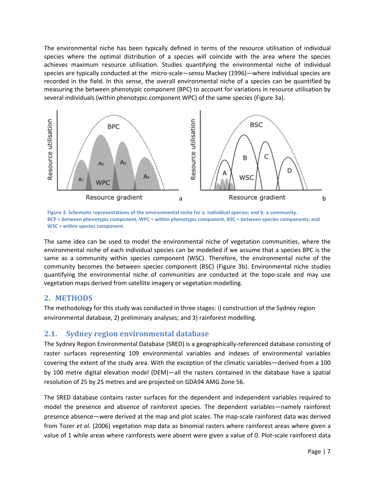The environmental niche has been typically defined in terms of the resource utilisation of individual species where the optimal distribution of a species will coincide with the area where the species achieves maximum resource utilisation. Studies quantifying the environmental niche of individual species are typically conducted at the micro-scale—*sensu* Mackey [\(1996\)](#page-16-8)—where individual species are recorded in the field. In this sense, the overall environmental niche of a species can be quantified by measuring the between phenotypic component (BPC) to account for variations in resource utilisation by several individuals (within phenotypic component WPC) of the same species [\(Figure 3a](#page-6-0)).



<span id="page-6-0"></span>**Figure 3. Schematic representations of the environmental niche for a. individual species; and b. a community. BCP = between phenotypic component, WPC = within phenotypic component, BSC = between species components; and WSC = within species component.**

The same idea can be used to model the environmental niche of vegetation communities, where the environmental niche of each individual species can be modelled if we assume that a species BPC is the same as a community within species component (WSC). Therefore, the environmental niche of the community becomes the between species component (BSC) [\(Figure 3b](#page-6-0)). Environmental niche studies quantifying the environmental niche of communities are conducted at the topo-scale and may use vegetation maps derived from satellite imagery or vegetation modelling.

#### **2. METHODS**

The methodology for this study was conducted in three stages: i) construction of the Sydney region environmental database, 2) preliminary analyses; and 3) rainforest modelling.

## **2.1. Sydney region environmental database**

The Sydney Region Environmental Database (SRED) is a geographically-referenced database consisting of raster surfaces representing 109 environmental variables and indexes of environmental variables covering the extent of the study area. With the exception of the climatic variables—derived from a 100 by 100 metre digital elevation model (DEM)—all the rasters contained in the database have a spatial resolution of 25 by 25 metres and are projected on GDA94 AMG Zone 56.

The SRED database contains raster surfaces for the dependent and independent variables required to model the presence and absence of rainforest species. The dependent variables—namely rainforest presence absence—were derived at the map and plot scales. The map-scale rainforest data was derived from Tozer *et al.* [\(2006\)](#page-16-3) vegetation map data as binomial rasters where rainforest areas where given a value of 1 while areas where rainforests were absent were given a value of 0. Plot-scale rainforest data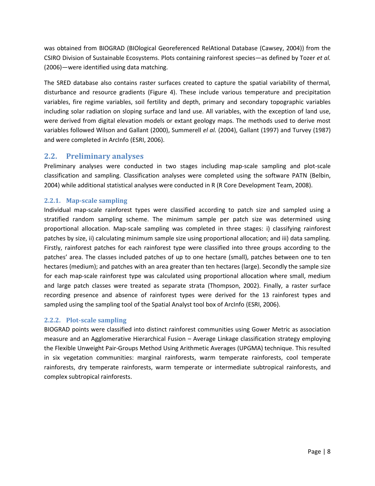was obtained from BIOGRAD (BIOlogical Georeferenced RelAtional Database [\(Cawsey, 2004\)](#page-15-14)) from the CSIRO Division of Sustainable Ecosystems. Plots containing rainforest species—as defined by Tozer *et al.* [\(2006\)](#page-16-3)—were identified using data matching.

The SRED database also contains raster surfaces created to capture the spatial variability of thermal, disturbance and resource gradients [\(Figure 4\)](#page-8-0). These include various temperature and precipitation variables, fire regime variables, soil fertility and depth, primary and secondary topographic variables including solar radiation on sloping surface and land use. All variables, with the exception of land use, were derived from digital elevation models or extant geology maps. The methods used to derive most variables followed Wilson and Gallant [\(2000\)](#page-16-9), Summerell *el al.* [\(2004\)](#page-16-10), Gallant [\(1997\)](#page-15-15) and Turvey [\(1987\)](#page-16-11) and were completed in ArcInfo [\(ESRI, 2006\)](#page-15-16).

# **2.2. Preliminary analyses**

Preliminary analyses were conducted in two stages including map-scale sampling and plot-scale classification and sampling. Classification analyses were completed using the software PATN [\(Belbin,](#page-15-17)  [2004\)](#page-15-17) while additional statistical analyses were conducted in R [\(R Core Development Team, 2008\)](#page-16-12).

#### **2.2.1. Map-scale sampling**

Individual map-scale rainforest types were classified according to patch size and sampled using a stratified random sampling scheme. The minimum sample per patch size was determined using proportional allocation. Map-scale sampling was completed in three stages: i) classifying rainforest patches by size, ii) calculating minimum sample size using proportional allocation; and iii) data sampling. Firstly, rainforest patches for each rainforest type were classified into three groups according to the patches' area. The classes included patches of up to one hectare (small), patches between one to ten hectares (medium); and patches with an area greater than ten hectares (large). Secondly the sample size for each map-scale rainforest type was calculated using proportional allocation where small, medium and large patch classes were treated as separate strata [\(Thompson, 2002\)](#page-16-13). Finally, a raster surface recording presence and absence of rainforest types were derived for the 13 rainforest types and sampled using the sampling tool of the Spatial Analyst tool box of ArcInfo [\(ESRI, 2006\)](#page-15-16).

#### **2.2.2. Plot-scale sampling**

BIOGRAD points were classified into distinct rainforest communities using Gower Metric as association measure and an Agglomerative Hierarchical Fusion – Average Linkage classification strategy employing the Flexible Unweight Pair-Groups Method Using Arithmetic Averages (UPGMA) technique. This resulted in six vegetation communities: marginal rainforests, warm temperate rainforests, cool temperate rainforests, dry temperate rainforests, warm temperate or intermediate subtropical rainforests, and complex subtropical rainforests.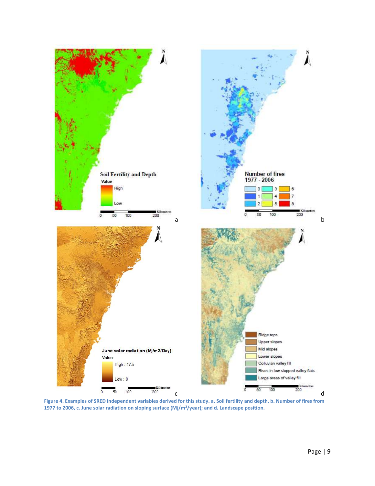

<span id="page-8-0"></span>**Figure 4. Examples of SRED independent variables derived for this study. a. Soil fertility and depth, b. Number of fires from 1977 to 2006, c. June solar radiation on sloping surface (Mj/m²/year); and d. Landscape position.**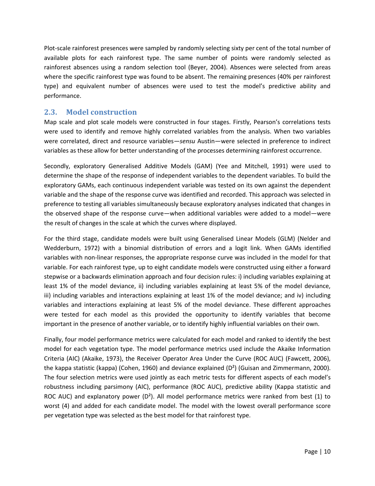Plot-scale rainforest presences were sampled by randomly selecting sixty per cent of the total number of available plots for each rainforest type. The same number of points were randomly selected as rainforest absences using a random selection tool [\(Beyer, 2004\)](#page-15-18). Absences were selected from areas where the specific rainforest type was found to be absent. The remaining presences (40% per rainforest type) and equivalent number of absences were used to test the model's predictive ability and performance.

## **2.3. Model construction**

Map scale and plot scale models were constructed in four stages. Firstly, Pearson's correlations tests were used to identify and remove highly correlated variables from the analysis. When two variables were correlated, direct and resource variables—*sensu* Austin—were selected in preference to indirect variables as these allow for better understanding of the processes determining rainforest occurrence.

Secondly, exploratory Generalised Additive Models (GAM) [\(Yee and Mitchell, 1991\)](#page-16-14) were used to determine the shape of the response of independent variables to the dependent variables. To build the exploratory GAMs, each continuous independent variable was tested on its own against the dependent variable and the shape of the response curve was identified and recorded. This approach was selected in preference to testing all variables simultaneously because exploratory analyses indicated that changes in the observed shape of the response curve—when additional variables were added to a model—were the result of changes in the scale at which the curves where displayed.

For the third stage, candidate models were built using Generalised Linear Models (GLM) [\(Nelder and](#page-16-15)  [Wedderburn, 1972\)](#page-16-15) with a binomial distribution of errors and a logit link. When GAMs identified variables with non-linear responses, the appropriate response curve was included in the model for that variable. For each rainforest type, up to eight candidate models were constructed using either a forward stepwise or a backwards elimination approach and four decision rules: i) including variables explaining at least 1% of the model deviance, ii) including variables explaining at least 5% of the model deviance, iii) including variables and interactions explaining at least 1% of the model deviance; and iv) including variables and interactions explaining at least 5% of the model deviance. These different approaches were tested for each model as this provided the opportunity to identify variables that become important in the presence of another variable, or to identify highly influential variables on their own.

Finally, four model performance metrics were calculated for each model and ranked to identify the best model for each vegetation type. The model performance metrics used include the Akaike Information Criteria (AIC) [\(Akaike, 1973\)](#page-15-19), the Receiver Operator Area Under the Curve (ROC AUC) [\(Fawcett, 2006\)](#page-15-20), the kappa statistic (kappa) [\(Cohen, 1960\)](#page-15-21) and deviance explained  $(D^2)$  [\(Guisan and Zimmermann, 2000\)](#page-15-22). The four selection metrics were used jointly as each metric tests for different aspects of each model's robustness including parsimony (AIC), performance (ROC AUC), predictive ability (Kappa statistic and ROC AUC) and explanatory power ( $D^2$ ). All model performance metrics were ranked from best (1) to worst (4) and added for each candidate model. The model with the lowest overall performance score per vegetation type was selected as the best model for that rainforest type.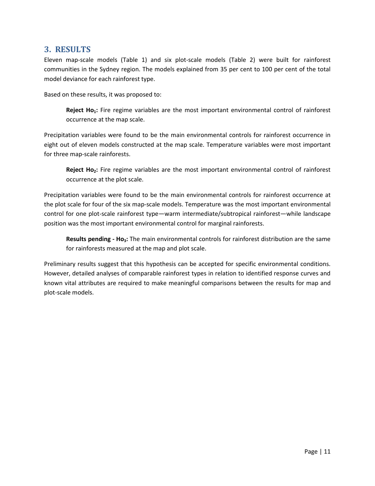# **3. RESULTS**

Eleven map-scale models [\(Table 1\)](#page-11-0) and six plot-scale models [\(Table 2\)](#page-12-0) were built for rainforest communities in the Sydney region. The models explained from 35 per cent to 100 per cent of the total model deviance for each rainforest type.

Based on these results, it was proposed to:

**Reject Ho1:** Fire regime variables are the most important environmental control of rainforest occurrence at the map scale.

Precipitation variables were found to be the main environmental controls for rainforest occurrence in eight out of eleven models constructed at the map scale. Temperature variables were most important for three map-scale rainforests.

**Reject Ho2:** Fire regime variables are the most important environmental control of rainforest occurrence at the plot scale.

Precipitation variables were found to be the main environmental controls for rainforest occurrence at the plot scale for four of the six map-scale models. Temperature was the most important environmental control for one plot-scale rainforest type—warm intermediate/subtropical rainforest—while landscape position was the most important environmental control for marginal rainforests.

**Results pending - Ho3:** The main environmental controls for rainforest distribution are the same for rainforests measured at the map and plot scale.

Preliminary results suggest that this hypothesis can be accepted for specific environmental conditions. However, detailed analyses of comparable rainforest types in relation to identified response curves and known vital attributes are required to make meaningful comparisons between the results for map and plot-scale models.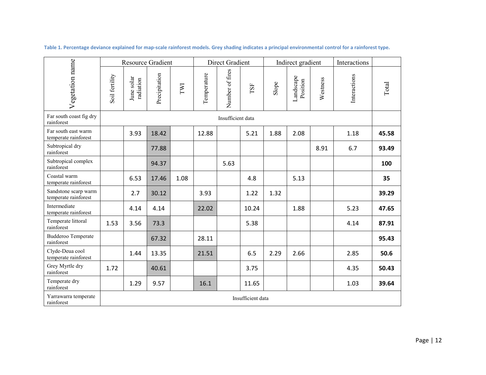<span id="page-11-0"></span>

| Vegetation name                              | <b>Resource Gradient</b> |                         |               |      | <b>Direct Gradient</b> |                 |       | Indirect gradient |                       |          | Interactions |       |
|----------------------------------------------|--------------------------|-------------------------|---------------|------|------------------------|-----------------|-------|-------------------|-----------------------|----------|--------------|-------|
|                                              | Soil fertility           | June solar<br>radiation | Precipitation | IWI  | Temperature            | Number of fires | TSF   | Slope             | Landscape<br>Position | Westness | Interactions | Total |
| Far south coast fig dry<br>rainforest        | Insufficient data        |                         |               |      |                        |                 |       |                   |                       |          |              |       |
| Far south east warm<br>temperate rainforest  |                          | 3.93                    | 18.42         |      | 12.88                  |                 | 5.21  | 1.88              | 2.08                  |          | 1.18         | 45.58 |
| Subtropical dry<br>rainforest                |                          |                         | 77.88         |      |                        |                 |       |                   |                       | 8.91     | 6.7          | 93.49 |
| Subtropical complex<br>rainforest            |                          |                         | 94.37         |      |                        | 5.63            |       |                   |                       |          |              | 100   |
| Coastal warm<br>temperate rainforest         |                          | 6.53                    | 17.46         | 1.08 |                        |                 | 4.8   |                   | 5.13                  |          |              | 35    |
| Sandstone scarp warm<br>temperate rainforest |                          | 2.7                     | 30.12         |      | 3.93                   |                 | 1.22  | 1.32              |                       |          |              | 39.29 |
| Intermediate<br>temperate rainforest         |                          | 4.14                    | 4.14          |      | 22.02                  |                 | 10.24 |                   | 1.88                  |          | 5.23         | 47.65 |
| Temperate littoral<br>rainforest             | 1.53                     | 3.56                    | 73.3          |      |                        |                 | 5.38  |                   |                       |          | 4.14         | 87.91 |
| <b>Budderoo Temperate</b><br>rainforest      |                          |                         | 67.32         |      | 28.11                  |                 |       |                   |                       |          |              | 95.43 |
| Clyde-Deua cool<br>temperate rainforest      |                          | 1.44                    | 13.35         |      | 21.51                  |                 | 6.5   | 2.29              | 2.66                  |          | 2.85         | 50.6  |
| Grey Myrtle dry<br>rainforest                | 1.72                     |                         | 40.61         |      |                        |                 | 3.75  |                   |                       |          | 4.35         | 50.43 |
| Temperate dry<br>rainforest                  |                          | 1.29                    | 9.57          |      | 16.1                   |                 | 11.65 |                   |                       |          | 1.03         | 39.64 |
| Yarrawarra temperate<br>rainforest           | Insufficient data        |                         |               |      |                        |                 |       |                   |                       |          |              |       |

**Table 1. Percentage deviance explained for map-scale rainforest models. Grey shading indicates a principal environmental control for a rainforest type.**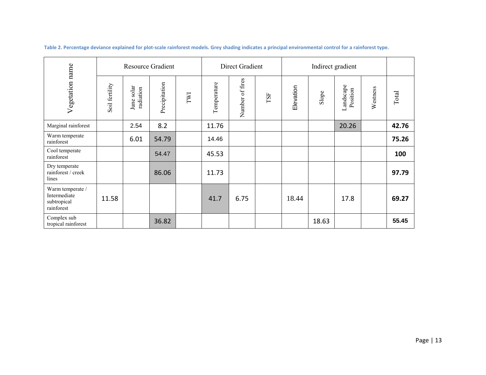<span id="page-12-0"></span>

| Vegetation name                                               | <b>Resource Gradient</b> |                            |               |     |             | Direct Gradient |     |           |       |                       |          |       |
|---------------------------------------------------------------|--------------------------|----------------------------|---------------|-----|-------------|-----------------|-----|-----------|-------|-----------------------|----------|-------|
|                                                               | Soil fertility           | solar<br>radiation<br>June | Precipitation | TWI | Temperature | Number of fires | TSF | Elevation | Slope | Landscape<br>Position | Westness | Total |
| Marginal rainforest                                           |                          | 2.54                       | 8.2           |     | 11.76       |                 |     |           |       | 20.26                 |          | 42.76 |
| Warm temperate<br>rainforest                                  |                          | 6.01                       | 54.79         |     | 14.46       |                 |     |           |       |                       |          | 75.26 |
| Cool temperate<br>rainforest                                  |                          |                            | 54.47         |     | 45.53       |                 |     |           |       |                       |          | 100   |
| Dry temperate<br>rainforest / creek<br>lines                  |                          |                            | 86.06         |     | 11.73       |                 |     |           |       |                       |          | 97.79 |
| Warm temperate /<br>Intermediate<br>subtropical<br>rainforest | 11.58                    |                            |               |     | 41.7        | 6.75            |     | 18.44     |       | 17.8                  |          | 69.27 |
| Complex sub<br>tropical rainforest                            |                          |                            | 36.82         |     |             |                 |     |           | 18.63 |                       |          | 55.45 |

**Table 2. Percentage deviance explained for plot-scale rainforest models. Grey shading indicates a principal environmental control for a rainforest type.**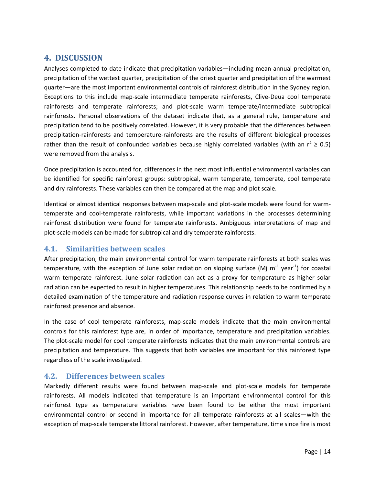# **4. DISCUSSION**

Analyses completed to date indicate that precipitation variables—including mean annual precipitation, precipitation of the wettest quarter, precipitation of the driest quarter and precipitation of the warmest quarter—are the most important environmental controls of rainforest distribution in the Sydney region. Exceptions to this include map-scale intermediate temperate rainforests, Clive-Deua cool temperate rainforests and temperate rainforests; and plot-scale warm temperate/intermediate subtropical rainforests. Personal observations of the dataset indicate that, as a general rule, temperature and precipitation tend to be positively correlated. However, it is very probable that the differences between precipitation-rainforests and temperature-rainforests are the results of different biological processes rather than the result of confounded variables because highly correlated variables (with an  $r^2 \ge 0.5$ ) were removed from the analysis.

Once precipitation is accounted for, differences in the next most influential environmental variables can be identified for specific rainforest groups: subtropical, warm temperate, temperate, cool temperate and dry rainforests. These variables can then be compared at the map and plot scale.

Identical or almost identical responses between map-scale and plot-scale models were found for warmtemperate and cool-temperate rainforests, while important variations in the processes determining rainforest distribution were found for temperate rainforests. Ambiguous interpretations of map and plot-scale models can be made for subtropical and dry temperate rainforests.

## **4.1. Similarities between scales**

After precipitation, the main environmental control for warm temperate rainforests at both scales was temperature, with the exception of June solar radiation on sloping surface (Mj m<sup>-1</sup> year<sup>-1</sup>) for coastal warm temperate rainforest. June solar radiation can act as a proxy for temperature as higher solar radiation can be expected to result in higher temperatures. This relationship needs to be confirmed by a detailed examination of the temperature and radiation response curves in relation to warm temperate rainforest presence and absence.

In the case of cool temperate rainforests, map-scale models indicate that the main environmental controls for this rainforest type are, in order of importance, temperature and precipitation variables. The plot-scale model for cool temperate rainforests indicates that the main environmental controls are precipitation and temperature. This suggests that both variables are important for this rainforest type regardless of the scale investigated.

## **4.2. Differences between scales**

Markedly different results were found between map-scale and plot-scale models for temperate rainforests. All models indicated that temperature is an important environmental control for this rainforest type as temperature variables have been found to be either the most important environmental control or second in importance for all temperate rainforests at all scales—with the exception of map-scale temperate littoral rainforest. However, after temperature, time since fire is most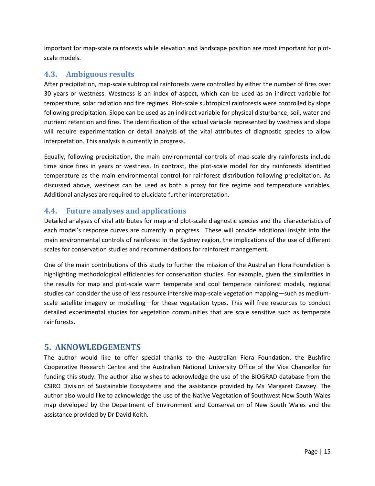important for map-scale rainforests while elevation and landscape position are most important for plotscale models.

## **4.3. Ambiguous results**

After precipitation, map-scale subtropical rainforests were controlled by either the number of fires over 30 years or westness. Westness is an index of aspect, which can be used as an indirect variable for temperature, solar radiation and fire regimes. Plot-scale subtropical rainforests were controlled by slope following precipitation. Slope can be used as an indirect variable for physical disturbance; soil, water and nutrient retention and fires. The identification of the actual variable represented by westness and slope will require experimentation or detail analysis of the vital attributes of diagnostic species to allow interpretation. This analysis is currently in progress.

Equally, following precipitation, the main environmental controls of map-scale dry rainforests include time since fires in years or westness. In contrast, the plot-scale model for dry rainforests identified temperature as the main environmental control for rainforest distribution following precipitation. As discussed above, westness can be used as both a proxy for fire regime and temperature variables. Additional analyses are required to elucidate further interpretation.

# **4.4. Future analyses and applications**

Detailed analyses of vital attributes for map and plot-scale diagnostic species and the characteristics of each model's response curves are currently in progress. These will provide additional insight into the main environmental controls of rainforest in the Sydney region, the implications of the use of different scales for conservation studies and recommendations for rainforest management.

One of the main contributions of this study to further the mission of the Australian Flora Foundation is highlighting methodological efficiencies for conservation studies. For example, given the similarities in the results for map and plot-scale warm temperate and cool temperate rainforest models, regional studies can consider the use of less resource intensive map-scale vegetation mapping—such as mediumscale satellite imagery or modelling—for these vegetation types. This will free resources to conduct detailed experimental studies for vegetation communities that are scale sensitive such as temperate rainforests.

# **5. AKNOWLEDGEMENTS**

The author would like to offer special thanks to the Australian Flora Foundation, the Bushfire Cooperative Research Centre and the Australian National University Office of the Vice Chancellor for funding this study. The author also wishes to acknowledge the use of the BIOGRAD database from the CSIRO Division of Sustainable Ecosystems and the assistance provided by Ms Margaret Cawsey. The author also would like to acknowledge the use of the Native Vegetation of Southwest New South Wales map developed by the Department of Environment and Conservation of New South Wales and the assistance provided by Dr David Keith.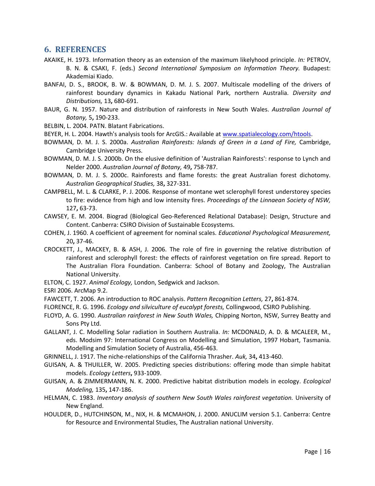## **6. REFERENCES**

- <span id="page-15-19"></span>AKAIKE, H. 1973. Information theory as an extension of the maximum likelyhood principle. *In:* PETROV, B. N. & CSAKI, F. (eds.) *Second International Symposium on Information Theory.* Budapest: Akademiai Kiado.
- <span id="page-15-4"></span>BANFAI, D. S., BROOK, B. W. & BOWMAN, D. M. J. S. 2007. Multiscale modelling of the drivers of rainforest boundary dynamics in Kakadu National Park, northern Australia. *Diversity and Distributions,* 13**,** 680-691.
- <span id="page-15-7"></span>BAUR, G. N. 1957. Nature and distribution of rainforests in New South Wales. *Australian Journal of Botany,* 5**,** 190-233.
- <span id="page-15-17"></span>BELBIN, L. 2004. PATN. Blatant Fabrications.
- <span id="page-15-18"></span>BEYER, H. L. 2004. Hawth's analysis tools for ArcGIS.: Available at [www.spatialecology.com/htools.](http://www.spatialecology.com/htools)
- <span id="page-15-0"></span>BOWMAN, D. M. J. S. 2000a. *Australian Rainforests: Islands of Green in a Land of Fire,* Cambridge, Cambridge University Press.
- <span id="page-15-9"></span>BOWMAN, D. M. J. S. 2000b. On the elusive definition of 'Australian Rainforests': response to Lynch and Nelder 2000. *Australian Journal of Botany,* 49**,** 758-787.
- <span id="page-15-1"></span>BOWMAN, D. M. J. S. 2000c. Rainforests and flame forests: the great Australian forest dichotomy. *Australian Geographical Studies,* 38**,** 327-331.
- <span id="page-15-2"></span>CAMPBELL, M. L. & CLARKE, P. J. 2006. Response of montane wet sclerophyll forest understorey species to fire: evidence from high and low intensity fires. *Proceedings of the Linnaean Society of NSW,* 127**,** 63-73.
- <span id="page-15-14"></span>CAWSEY, E. M. 2004. Biograd (Biological Geo-Referenced Relational Database): Design, Structure and Content. Canberra: CSIRO Division of Sustainable Ecosystems.
- <span id="page-15-21"></span>COHEN, J. 1960. A coefficient of agreement for nominal scales. *Educational Psychological Measurement,* 20**,** 37-46.
- <span id="page-15-5"></span>CROCKETT, J., MACKEY, B. & ASH, J. 2006. The role of fire in governing the relative distribution of rainforest and sclerophyll forest: the effects of rainforest vegetation on fire spread. Report to The Australian Flora Foundation. Canberra: School of Botany and Zoology, The Australian National University.
- <span id="page-15-13"></span>ELTON, C. 1927. *Animal Ecology,* London, Sedgwick and Jackson.
- <span id="page-15-16"></span>ESRI 2006. ArcMap 9.2.
- <span id="page-15-20"></span>FAWCETT, T. 2006. An introduction to ROC analysis. *Pattern Recognition Letters,* 27**,** 861-874.
- <span id="page-15-3"></span>FLORENCE, R. G. 1996. *Ecology and silviculture of eucalypt forests,* Collingwood, CSIRO Publishing.
- <span id="page-15-6"></span>FLOYD, A. G. 1990. *Australian rainforest in New South Wales,* Chipping Norton, NSW, Surrey Beatty and Sons Pty Ltd.
- <span id="page-15-15"></span>GALLANT, J. C. Modelling Solar radiation in Southern Australia. *In:* MCDONALD, A. D. & MCALEER, M., eds. Modsim 97: International Congress on Modelling and Simulation, 1997 Hobart, Tasmania. Modelling and Simulation Society of Australia, 456-463.
- <span id="page-15-12"></span>GRINNELL, J. 1917. The niche-relationships of the California Thrasher. *Auk,* 34**,** 413-460.
- <span id="page-15-10"></span>GUISAN, A. & THUILLER, W. 2005. Predicting species distributions: offering mode than simple habitat models. *Ecology Letters***,** 933-1009.
- <span id="page-15-22"></span>GUISAN, A. & ZIMMERMANN, N. K. 2000. Predictive habitat distribution models in ecology. *Ecological Modeling,* 135**,** 147-186.
- <span id="page-15-8"></span>HELMAN, C. 1983. *Inventory analysis of southern New South Wales rainforest vegetation.* University of New England.
- <span id="page-15-11"></span>HOULDER, D., HUTCHINSON, M., NIX, H. & MCMAHON, J. 2000. ANUCLIM version 5.1. Canberra: Centre for Resource and Environmental Studies, The Australian national University.